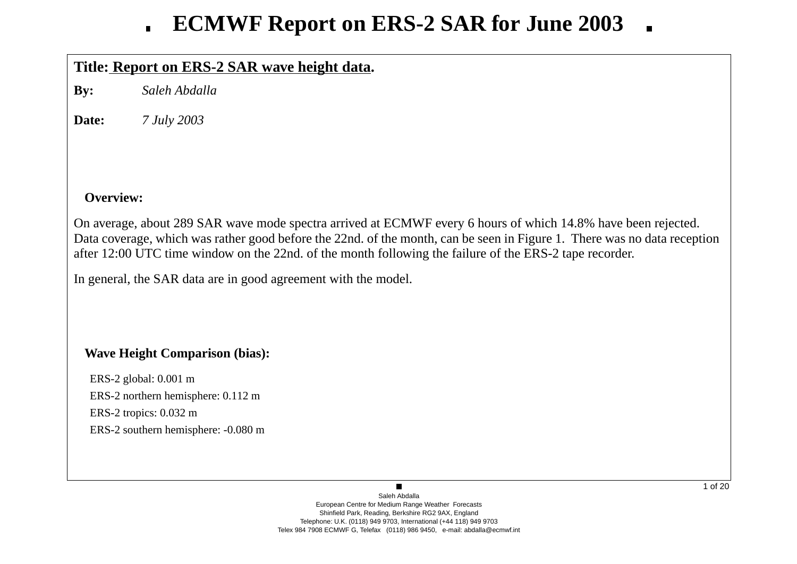## **Title: Report on ERS-2 SAR wa ve height data.**

**By:** *Saleh Abdalla*

**Date:***7 July 2003*

## **Overview:**

On average, about 289 SAR wave mode spectra arrived at ECMWF every 6 hours of which 14.8% have been rejected. Data co verage, which was rather good before the 22nd. of the month, can be seen in Figure 1. There was no data reception after 12:00 UTC time window on the 22nd. of the month following the failure of the ERS-2 tape recorder.

In general, the SAR data are in good agreement with the model.

## **Wa ve Height Comparison (bias):**

ERS-2 global: 0.001 m ERS-2 northern hemisphere: 0.112 m ERS-2 tropics: 0.032 m ERS-2 southern hemisphere: -0.080 m

> Saleh AbdallaEuropean Centre for Medium Range Weather Forecasts Shinfield Park, Reading, Berkshire RG2 9AX, England Telephone: U.K. (0118) 949 9703, International (+44 118) 949 9703 Telex 984 7908 ECMWF G, Telefax (0118) 986 9450, e-mail: abdalla@ecmwf.int

 $\blacksquare$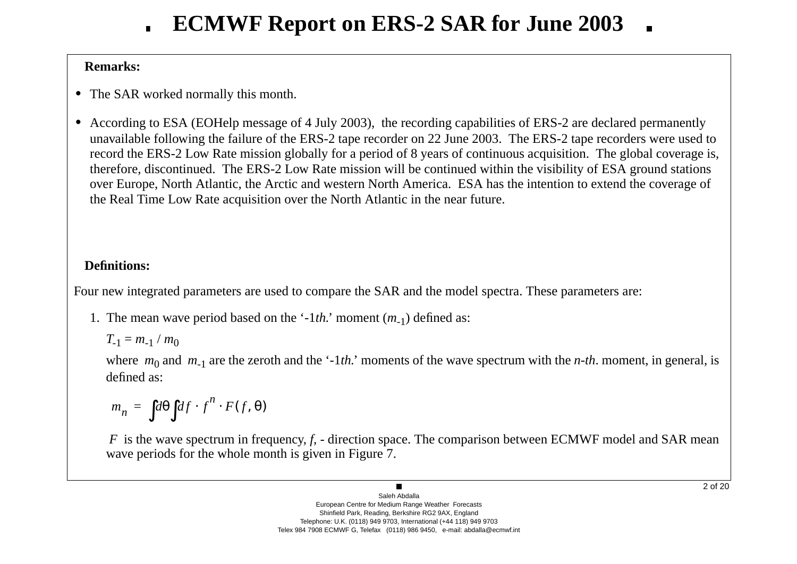## **Remarks:**

- **•** The SAR worked normally this month.
- **•** According to ESA (EOHelp message of 4 July 2003), the recording capabilities of ERS-2 are declared permanently una vailable following the failure of the ERS-2 tape recorder on 22 June 2003. The ERS-2 tape recorders were used to record the ERS-2 Lo w Rate mission globally for a period of 8 years of continuous acquisition. The global co verage is, therefore, discontinued. The ERS-2 Low Rate mission will be continued within the visibility of ESA ground stations o ver Europe, North Atlantic, the Arctic and western North America. ESA has the intention to extend the co verage of the Real Time Low Rate acquisition o ver the North Atlantic in the near future.

## **Definitions:**

Four new integrated parameters are used to compare the SAR and the model spectra. These parameters are:

1. The mean wave period based on the '-1*th*.' moment (*m*<sub>-1</sub>) defined as:

$$
T_{-1}=m_{-1}/m_0
$$

where  $m_0$  and  $m_{-1}$  are the zeroth and the '-1*th*.' moments of the wave spectrum with the *n-th*. moment, in general, is defined as:

$$
m_n = \int d\theta \int df \cdot f^n \cdot F(f, \theta)
$$

*F* is the wave spectrum in frequency, *f*, - direction space. The comparison between ECMWF model and SAR mean wave periods for the whole month is given in Figure 7.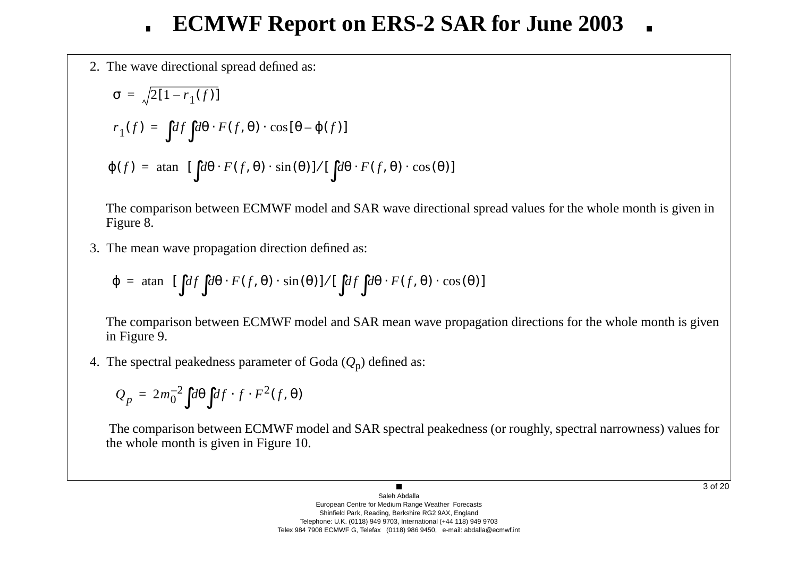2. The w a ve directional spread defined as:

$$
\sigma = \sqrt{2[1 - r_1(f)]}
$$
  
\n
$$
r_1(f) = \int df \int d\theta \cdot F(f, \theta) \cdot \cos[\theta - \varphi(f)]
$$
  
\n
$$
\varphi(f) = \operatorname{atan} \left\{ [\int d\theta \cdot F(f, \theta) \cdot \sin(\theta)] / [\int d\theta \cdot F(f, \theta) \cdot \cos(\theta)] \right\}
$$

The comparison between ECMWF model and SAR wave directional spread values for the whole month is given in Figure 8.

3. The mean w a ve propagation direction defined as:

$$
\varphi = \operatorname{atan} \left\{ [\int df \int d\theta \cdot F(f, \theta) \cdot \sin(\theta)] / [\int df \int d\theta \cdot F(f, \theta) \cdot \cos(\theta)] \right\}
$$

The comparison between ECMWF model and SAR mean wave propagation directions for the whole month is given in Figure 9.

4. The spectral peakedness parameter of Goda ( *Q* <sup>p</sup>) defined as:

$$
Q_p = 2m_0^{-2} \int d\theta \int df \cdot f \cdot F^2(f, \theta)
$$

The comparison between ECMWF model and SAR spectral peakedness (or roughly, spectral narrowness) values for the whole month is gi ven in Figure 10.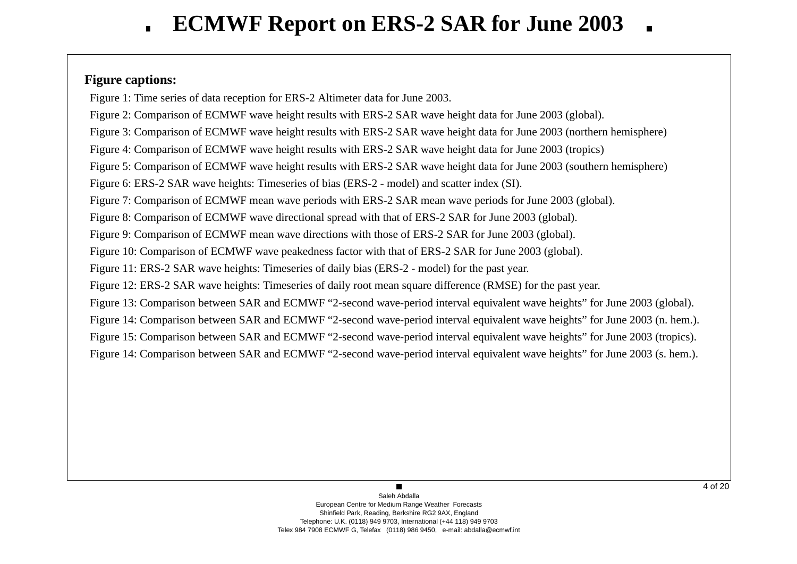## **Figure captions:**

Figure 1: Time series of data reception for ERS-2 Altimeter data for June 2003.

Figure 2: Comparison of ECMWF wave height results with ERS-2 SAR wave height data for June 2003 (global).

Figure 3: Comparison of ECMWF wave height results with ERS-2 SAR wave height data for June 2003 (northern hemisphere)

Figure 4: Comparison of ECMWF wave height results with ERS-2 SAR wave height data for June 2003 (tropics)

Figure 5: Comparison of ECMWF wave height results with ERS-2 SAR wave height data for June 2003 (southern hemisphere)

Figure 6: ERS-2 SAR wave heights: Timeseries of bias (ERS-2 - model) and scatter index (SI).

Figure 7: Comparison of ECMWF mean wave periods with ERS-2 SAR mean wave periods for June 2003 (global).

Figure 8: Comparison of ECMWF wave directional spread with that of ERS-2 SAR for June 2003 (global).

Figure 9: Comparison of ECMWF mean wave directions with those of ERS-2 SAR for June 2003 (global).

Figure 10: Comparison of ECMWF wave peakedness factor with that of ERS-2 SAR for June 2003 (global).

Figure 11: ERS-2 SAR wave heights: Timeseries of daily bias (ERS-2 - model) for the past year.

Figure 12: ERS-2 SAR wave heights: Timeseries of daily root mean square difference (RMSE) for the past year.

Figure 13: Comparison between SAR and ECMWF "2-second wave-period interval equivalent wave heights" for June 2003 (global).

Figure 14: Comparison between SAR and ECMWF "2-second wave-period interval equivalent wave heights" for June 2003 (n. hem.).

Figure 15: Comparison between SAR and ECMWF "2-second wave-period interval equivalent wave heights" for June 2003 (tropics).

Figure 14: Comparison between SAR and ECMWF "2-second wave-period interval equivalent wave heights" for June 2003 (s. hem.).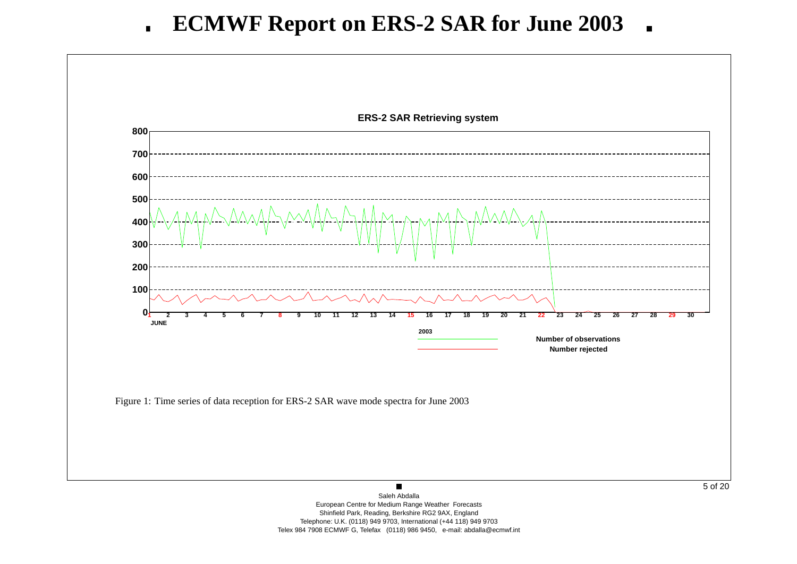

Telephone: U.K. (0118) 949 9703, International (+44 118) 949 9703 Telex 984 7908 ECMWF G, Telefax (0118) 986 9450, e-mail: abdalla@ecmwf.int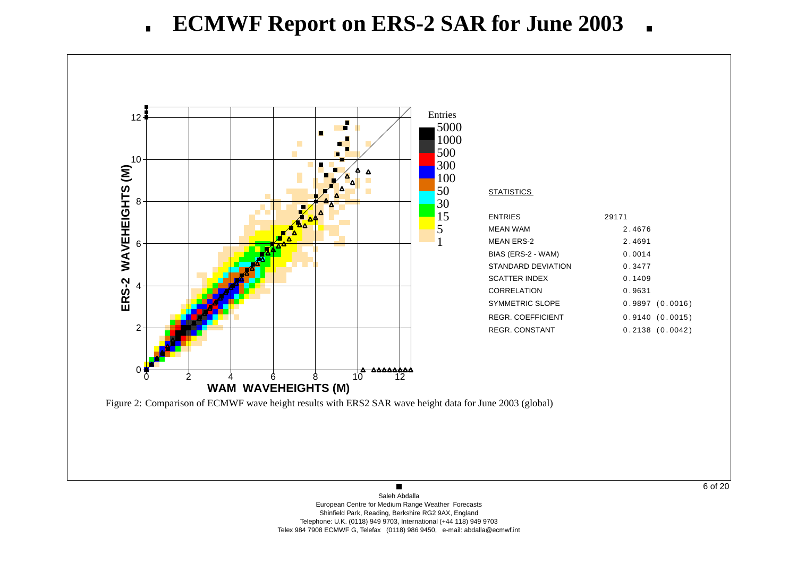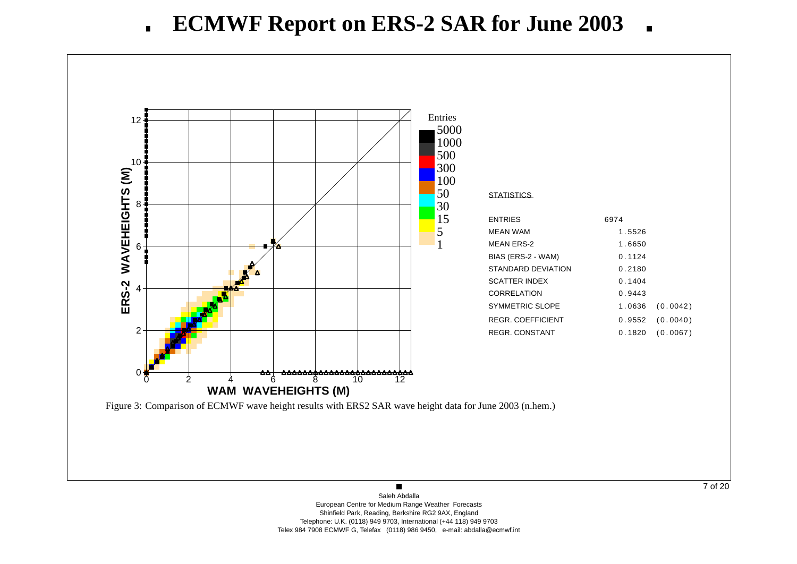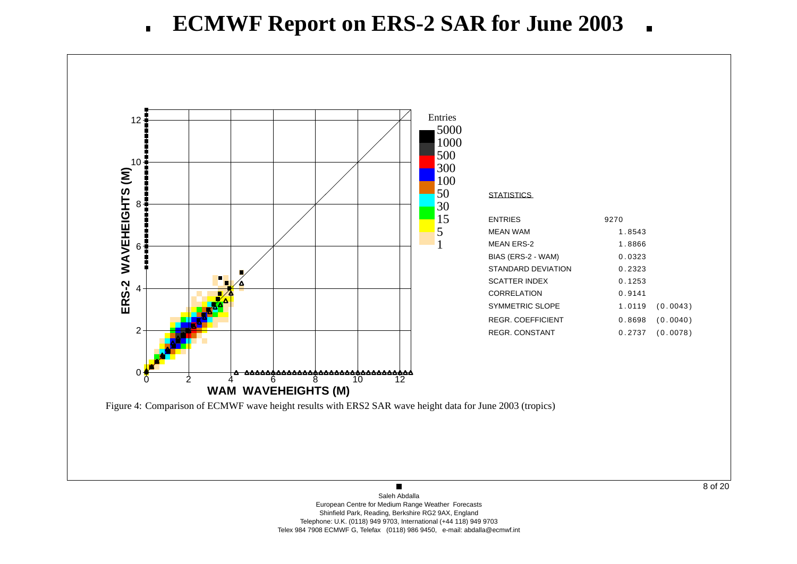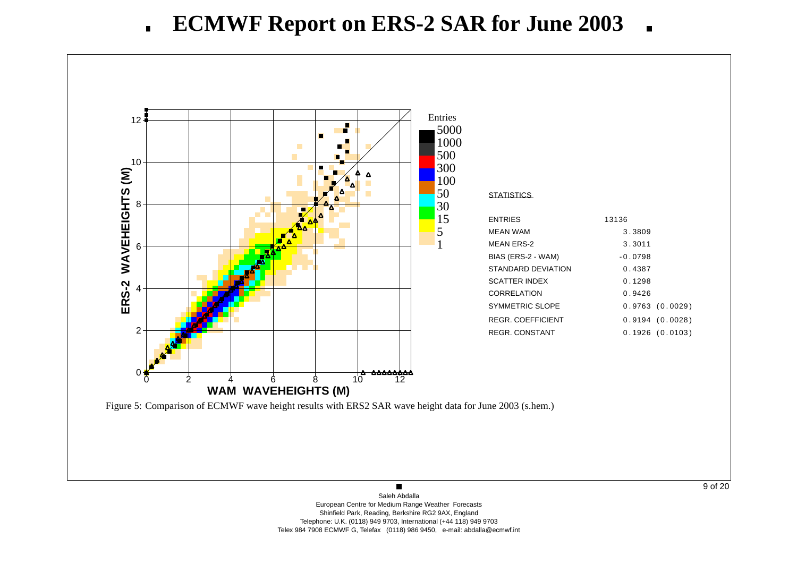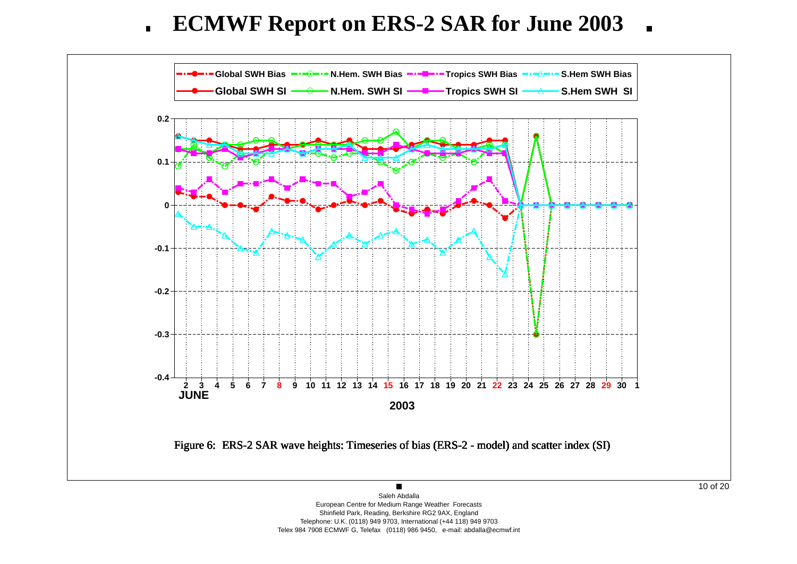**ECMWF Report on ERS-2 SAR for June 2003**  $\blacksquare$ 



Shinfield Park, Reading, Berkshire RG2 9AX, England Telephone: U.K. (0118) 949 9703, International (+44 118) 949 9703

Telex 984 7908 ECMWF G, Telefax (0118) 986 9450, e-mail: abdalla@ecmwf.int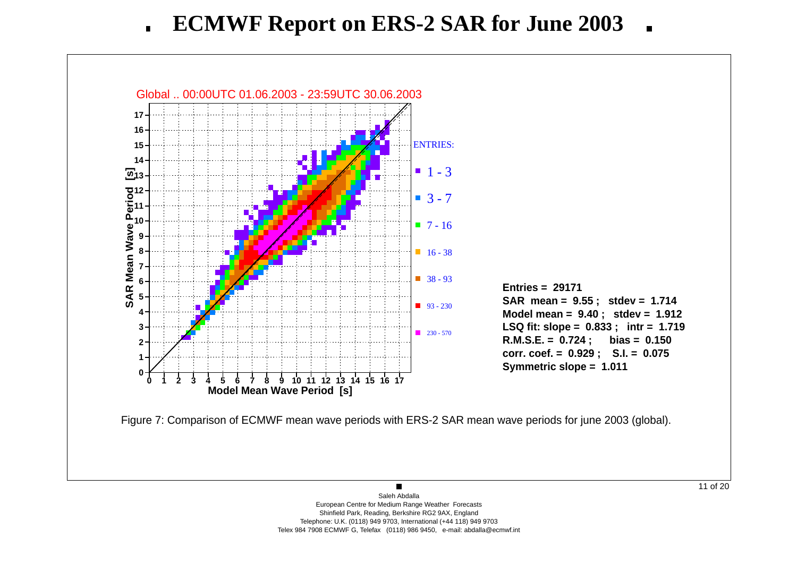

11 of 20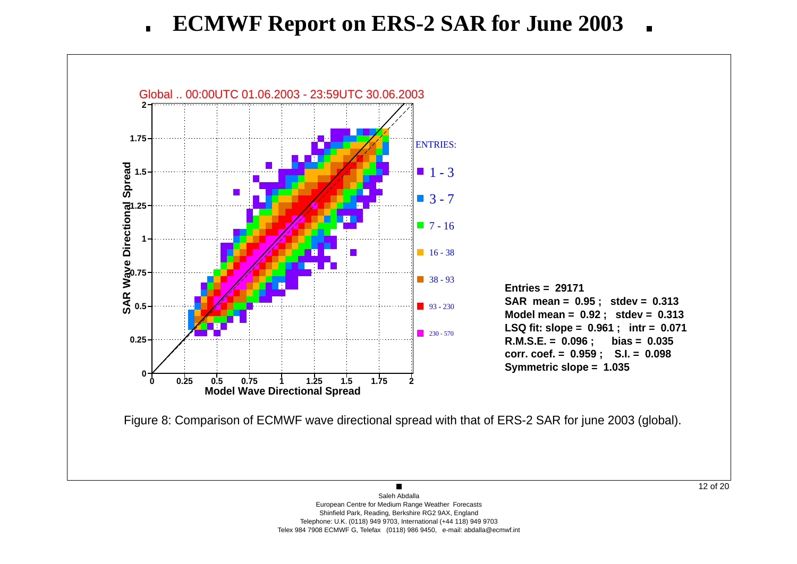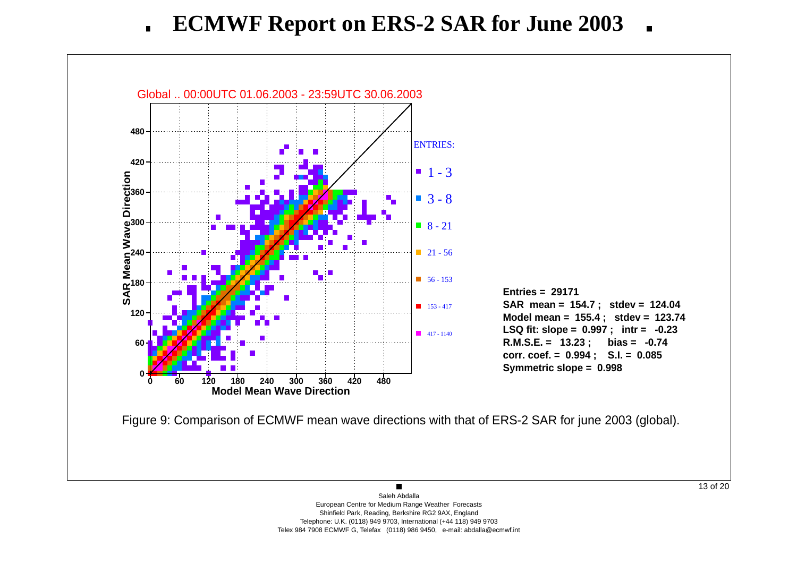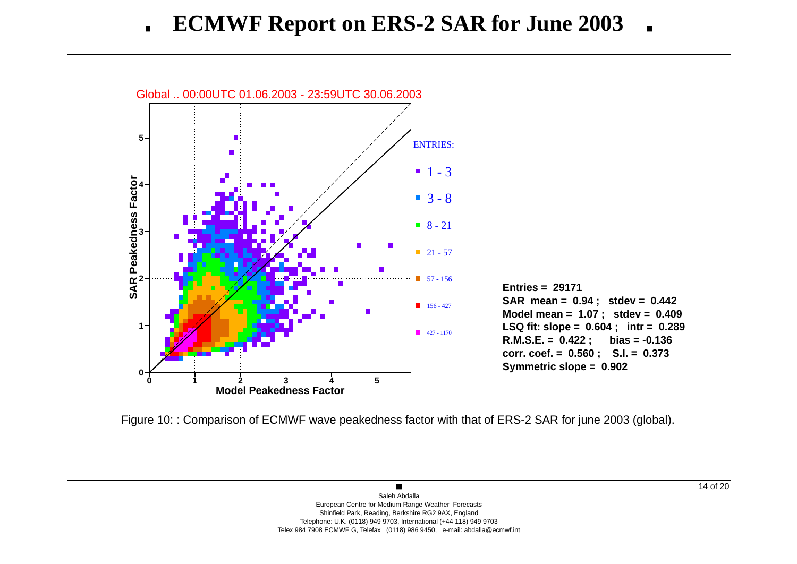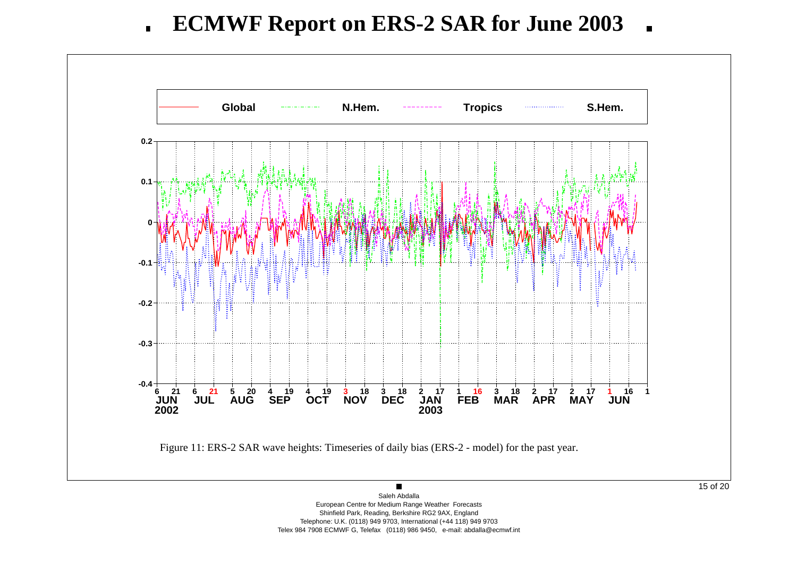

Shinfield Park, Reading, Berkshire RG2 9AX, England Telephone: U.K. (0118) 949 9703, International (+44 118) 949 9703 Telex 984 7908 ECMWF G, Telefax (0118) 986 9450, e-mail: abdalla@ecmwf.int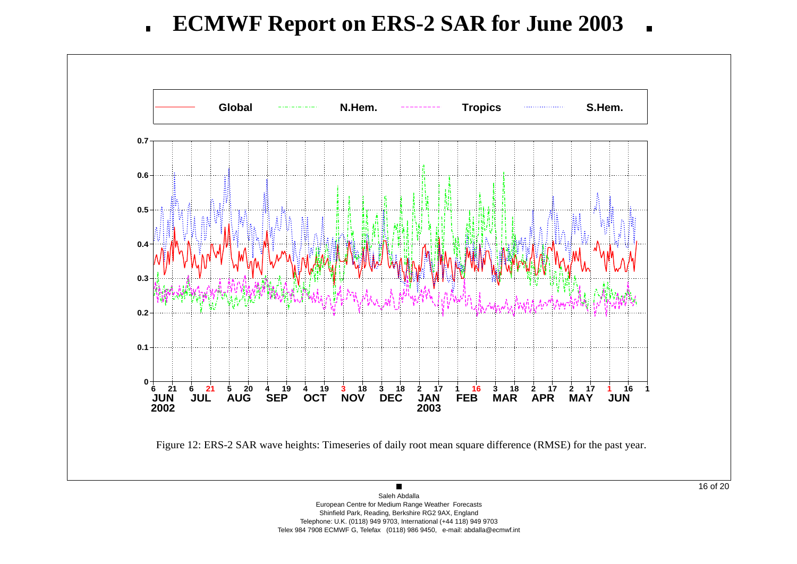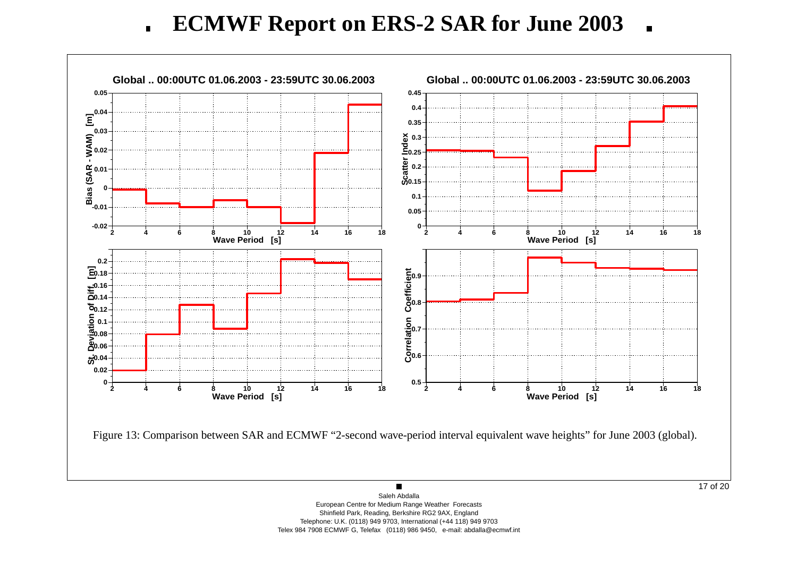**ECMWF Report on ERS-2 SAR for June 2003**  $\blacksquare$  $\blacksquare$ 

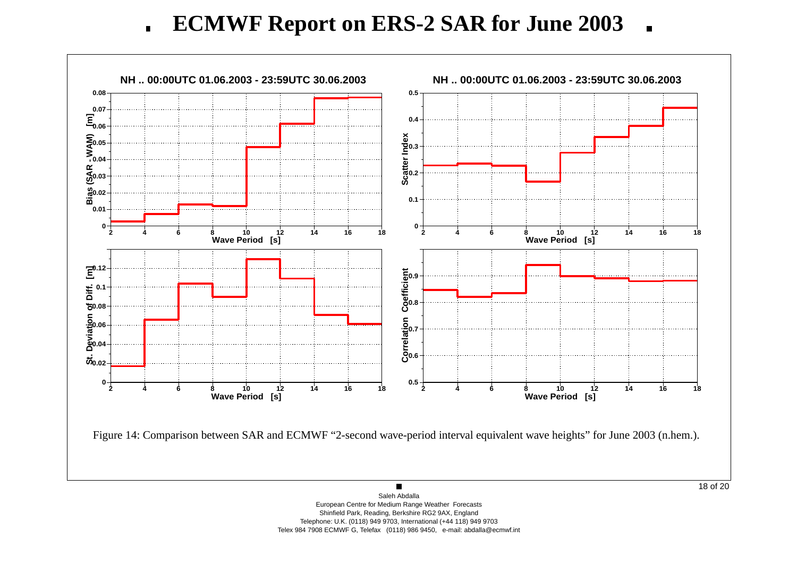**ECMWF Report on ERS-2 SAR for June 2003**  $\blacksquare$  $\blacksquare$ 

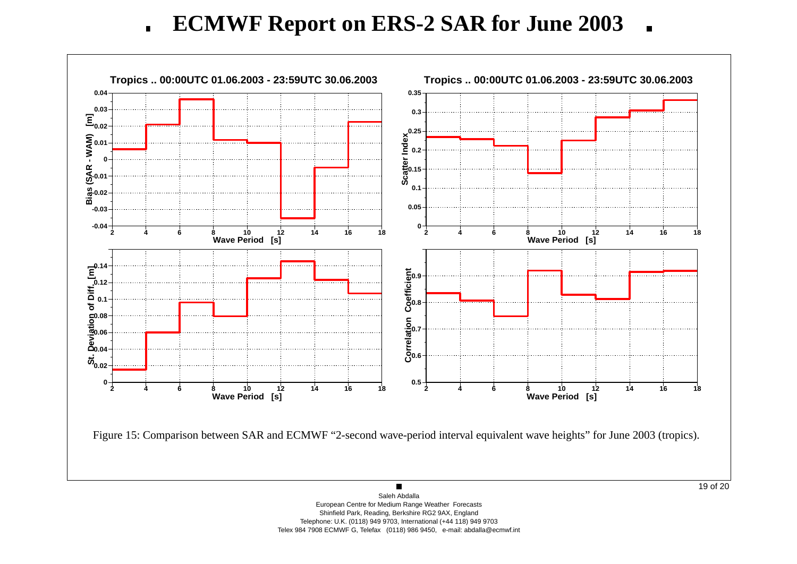